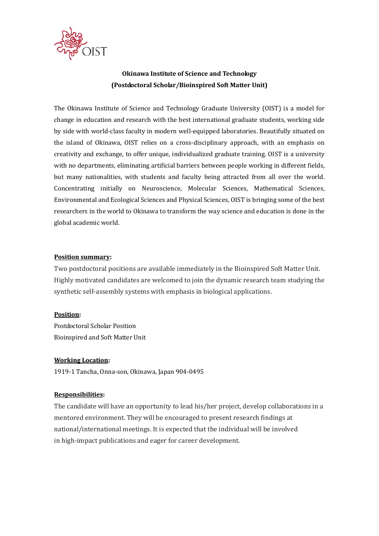

# **Okinawa Institute of Science and Technology (Postdoctoral Scholar/Bioinspired Soft Matter Unit)**

The Okinawa Institute of Science and Technology Graduate University (OIST) is a model for change in education and research with the best international graduate students, working side by side with world-class faculty in modern well-equipped laboratories. Beautifully situated on the island of Okinawa, OIST relies on a cross-disciplinary approach, with an emphasis on creativity and exchange, to offer unique, individualized graduate training. OIST is a university with no departments, eliminating artificial barriers between people working in different fields, but many nationalities, with students and faculty being attracted from all over the world. Concentrating initially on Neuroscience, Molecular Sciences, Mathematical Sciences, Environmental and Ecological Sciences and Physical Sciences, OIST is bringing some of the best researchers in the world to Okinawa to transform the way science and education is done in the global academic world.

#### **Position summary:**

Two postdoctoral positions are available immediately in the Bioinspired Soft Matter Unit. Highly motivated candidates are welcomed to join the dynamic research team studying the synthetic self-assembly systems with emphasis in biological applications.

#### **Position:**

Postdoctoral Scholar Position Bioinspired and Soft Matter Unit 

# **Working Location:**

1919-1 Tancha, Onna-son, Okinawa, Japan 904-0495

# **Responsibilities:**

The candidate will have an opportunity to lead his/her project, develop collaborations in a mentored environment. They will be encouraged to present research findings at national/international meetings. It is expected that the individual will be involved in high-impact publications and eager for career development.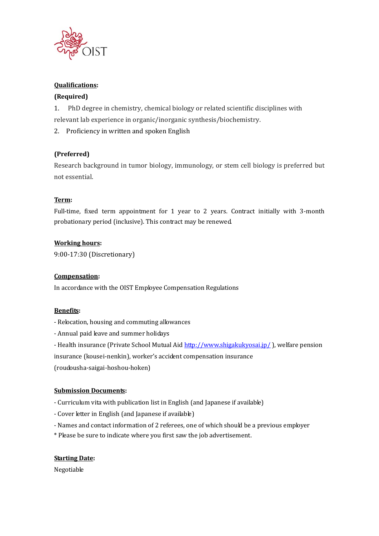

# **Oualifications:**

# **(Required)**

1. PhD degree in chemistry, chemical biology or related scientific disciplines with relevant lab experience in organic/inorganic synthesis/biochemistry.

2. Proficiency in written and spoken English

# **(Preferred)**

Research background in tumor biology, immunology, or stem cell biology is preferred but not essential.

# **Term:**

Full-time, fixed term appointment for 1 year to 2 years. Contract initially with 3-month probationary period (inclusive). This contract may be renewed.

# **Working hours:**

9:00‐17:30 (Discretionary) 

# **Compensation:**

In accordance with the OIST Employee Compensation Regulations

# **Benefits:**

- Relocation, housing and commuting allowances
- Annual paid leave and summer holidays
- Health insurance (Private School Mutual Aid http://www.shigakukyosai.jp/), welfare pension

insurance (kousei-nenkin), worker's accident compensation insurance

(roudousha‐saigai‐hoshou‐hoken) 

# **Submission Documents:**

- Curriculum vita with publication list in English (and Japanese if available)
- Cover letter in English (and Japanese if available)
- Names and contact information of 2 referees, one of which should be a previous employer
- \* Please be sure to indicate where you first saw the job advertisement.

# **Starting Date:**

Negotiable